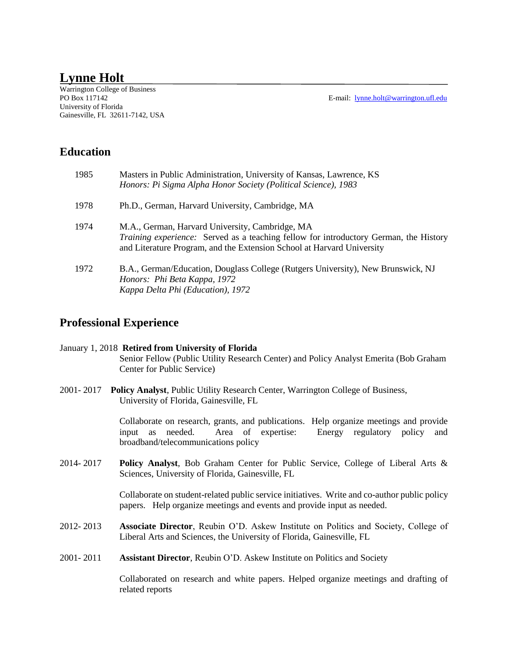# **Lynne Holt**

Warrington College of Business University of Florida Gainesville, FL 32611-7142, USA

E-mail: [lynne.holt@warrington.ufl.edu](mailto:lynne.holt@warrington.ufl.edu)

## **Education**

| 1985 | Masters in Public Administration, University of Kansas, Lawrence, KS<br>Honors: Pi Sigma Alpha Honor Society (Political Science), 1983                                                                                    |
|------|---------------------------------------------------------------------------------------------------------------------------------------------------------------------------------------------------------------------------|
| 1978 | Ph.D., German, Harvard University, Cambridge, MA                                                                                                                                                                          |
| 1974 | M.A., German, Harvard University, Cambridge, MA<br><i>Training experience:</i> Served as a teaching fellow for introductory German, the History<br>and Literature Program, and the Extension School at Harvard University |
| 1972 | B.A., German/Education, Douglass College (Rutgers University), New Brunswick, NJ<br>Honors: Phi Beta Kappa, 1972<br>Kappa Delta Phi (Education), 1972                                                                     |

## **Professional Experience**

### January 1, 2018 **Retired from University of Florida** Senior Fellow (Public Utility Research Center) and Policy Analyst Emerita (Bob Graham Center for Public Service)

2001- 2017 **Policy Analyst**, Public Utility Research Center, Warrington College of Business, University of Florida, Gainesville, FL

> Collaborate on research, grants, and publications. Help organize meetings and provide input as needed. Area of expertise: Energy regulatory policy and broadband/telecommunications policy

2014- 2017 **Policy Analyst**, Bob Graham Center for Public Service, College of Liberal Arts & Sciences, University of Florida, Gainesville, FL

> Collaborate on student-related public service initiatives. Write and co-author public policy papers. Help organize meetings and events and provide input as needed.

- 2012- 2013 **Associate Director**, Reubin O'D. Askew Institute on Politics and Society, College of Liberal Arts and Sciences, the University of Florida, Gainesville, FL
- 2001- 2011 **Assistant Director**, Reubin O'D. Askew Institute on Politics and Society

Collaborated on research and white papers. Helped organize meetings and drafting of related reports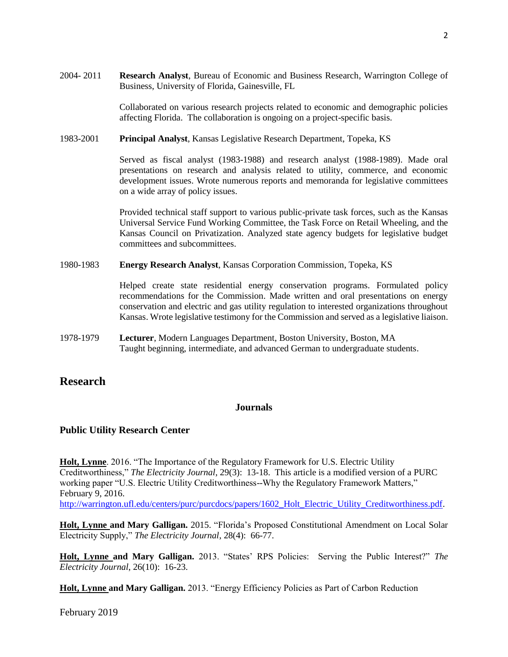2004- 2011 **Research Analyst**, Bureau of Economic and Business Research, Warrington College of Business, University of Florida, Gainesville, FL

> Collaborated on various research projects related to economic and demographic policies affecting Florida. The collaboration is ongoing on a project-specific basis.

1983-2001 **Principal Analyst**, Kansas Legislative Research Department, Topeka, KS

Served as fiscal analyst (1983-1988) and research analyst (1988-1989). Made oral presentations on research and analysis related to utility, commerce, and economic development issues. Wrote numerous reports and memoranda for legislative committees on a wide array of policy issues.

Provided technical staff support to various public-private task forces, such as the Kansas Universal Service Fund Working Committee, the Task Force on Retail Wheeling, and the Kansas Council on Privatization. Analyzed state agency budgets for legislative budget committees and subcommittees.

#### 1980-1983 **Energy Research Analyst**, Kansas Corporation Commission, Topeka, KS

Helped create state residential energy conservation programs. Formulated policy recommendations for the Commission. Made written and oral presentations on energy conservation and electric and gas utility regulation to interested organizations throughout Kansas. Wrote legislative testimony for the Commission and served as a legislative liaison.

1978-1979 **Lecturer**, Modern Languages Department, Boston University, Boston, MA Taught beginning, intermediate, and advanced German to undergraduate students.

## **Research**

## **Journals**

#### **Public Utility Research Center**

**Holt, Lynne**. 2016. "The Importance of the Regulatory Framework for U.S. Electric Utility Creditworthiness," *The Electricity Journal*, 29(3): 13-18. This article is a modified version of a PURC working paper "U.S. Electric Utility Creditworthiness--Why the Regulatory Framework Matters," February 9, 2016.

[http://warrington.ufl.edu/centers/purc/purcdocs/papers/1602\\_Holt\\_Electric\\_Utility\\_Creditworthiness.pdf.](http://warrington.ufl.edu/centers/purc/purcdocs/papers/1602_Holt_Electric_Utility_Creditworthiness.pdf)

**Holt, Lynne and Mary Galligan.** 2015. "Florida's Proposed Constitutional Amendment on Local Solar Electricity Supply," *The Electricity Journal*, 28(4): 66-77.

**Holt, Lynne and Mary Galligan.** 2013. "States' RPS Policies: Serving the Public Interest?" *The Electricity Journal*, 26(10): 16-23.

**Holt, Lynne and Mary Galligan.** 2013. "Energy Efficiency Policies as Part of Carbon Reduction

February 2019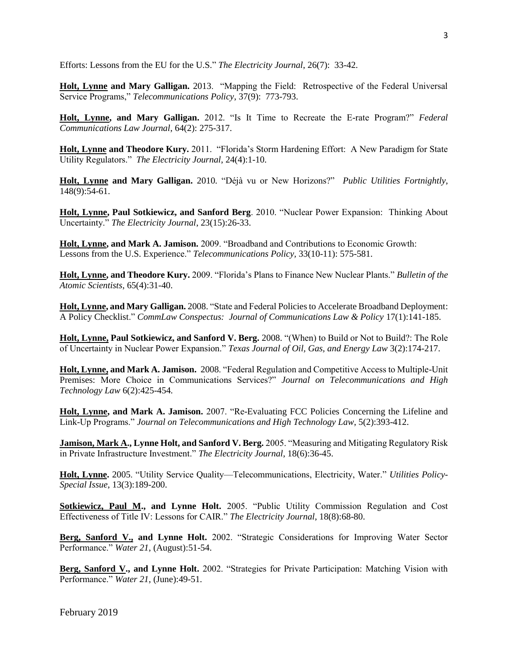Efforts: Lessons from the EU for the U.S." *The Electricity Journal*, 26(7): 33-42.

**Holt, Lynne and Mary Galligan.** 2013. "Mapping the Field: Retrospective of the Federal Universal Service Programs," *Telecommunications Policy*, 37(9): 773-793.

**Holt, Lynne, and Mary Galligan.** 2012. "Is It Time to Recreate the E-rate Program?" *Federal Communications Law Journal*, 64(2): 275-317.

**Holt, Lynne and Theodore Kury.** 2011. "Florida's Storm Hardening Effort: A New Paradigm for State Utility Regulators." *The Electricity Journal*, 24(4):1-10.

**Holt, Lynne and Mary Galligan.** 2010. "Déjà vu or New Horizons?" *Public Utilities Fortnightly*, 148(9):54-61.

**Holt, Lynne, Paul Sotkiewicz, and Sanford Berg**. 2010. "Nuclear Power Expansion: Thinking About Uncertainty." *The Electricity Journal*, 23(15):26-33.

**Holt, Lynne, and Mark A. Jamison.** 2009. "Broadband and Contributions to Economic Growth: Lessons from the U.S. Experience." *Telecommunications Policy,* 33(10-11): 575-581.

**Holt, Lynne, and Theodore Kury.** 2009. "Florida's Plans to Finance New Nuclear Plants." *Bulletin of the Atomic Scientists*, 65(4):31-40.

**Holt, Lynne, and Mary Galligan.** 2008. "State and Federal Policies to Accelerate Broadband Deployment: A Policy Checklist." *CommLaw Conspectus: Journal of Communications Law & Policy* 17(1):141-185.

**Holt, Lynne, Paul Sotkiewicz, and Sanford V. Berg.** 2008. "(When) to Build or Not to Build?: The Role of Uncertainty in Nuclear Power Expansion." *Texas Journal of Oil, Gas, and Energy Law* 3(2):174-217.

**Holt, Lynne, and Mark A. Jamison.** 2008. "Federal Regulation and Competitive Access to Multiple-Unit Premises: More Choice in Communications Services?" *Journal on Telecommunications and High Technology Law* 6(2):425-454*.*

**Holt, Lynne, and Mark A. Jamison.** 2007. "Re-Evaluating FCC Policies Concerning the Lifeline and Link-Up Programs." *Journal on Telecommunications and High Technology Law*, 5(2):393-412.

**Jamison, Mark A., Lynne Holt, and Sanford V. Berg.** 2005. "Measuring and Mitigating Regulatory Risk in Private Infrastructure Investment." *The Electricity Journal*, 18(6):36-45.

**Holt, Lynne.** 2005. "Utility Service Quality—Telecommunications, Electricity, Water." *Utilities Policy-Special Issue*, 13(3):189-200.

**Sotkiewicz, Paul M., and Lynne Holt.** 2005. "Public Utility Commission Regulation and Cost Effectiveness of Title IV: Lessons for CAIR." *The Electricity Journal*, 18(8):68-80.

**Berg, Sanford V., and Lynne Holt.** 2002. "Strategic Considerations for Improving Water Sector Performance." *Water 21*, (August):51-54.

**Berg, Sanford V., and Lynne Holt.** 2002. "Strategies for Private Participation: Matching Vision with Performance." *Water 21*, (June):49-51.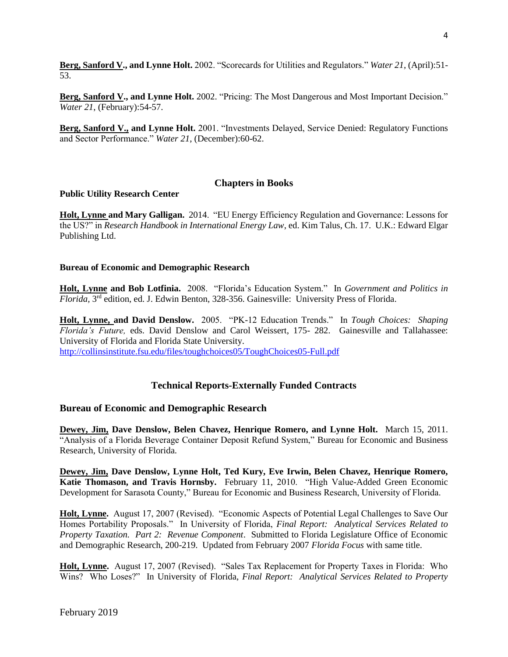**Berg, Sanford V., and Lynne Holt.** 2002. "Scorecards for Utilities and Regulators." *Water 21*, (April):51- 53.

**Berg, Sanford V., and Lynne Holt.** 2002. "Pricing: The Most Dangerous and Most Important Decision." *Water 21*, (February):54-57.

**Berg, Sanford V., and Lynne Holt.** 2001. "Investments Delayed, Service Denied: Regulatory Functions and Sector Performance." *Water 21*, (December):60-62.

### **Chapters in Books**

#### **Public Utility Research Center**

**Holt, Lynne and Mary Galligan.** 2014. "EU Energy Efficiency Regulation and Governance: Lessons for the US?" in *Research Handbook in International Energy Law*, ed. Kim Talus, Ch. 17. U.K.: Edward Elgar Publishing Ltd.

#### **Bureau of Economic and Demographic Research**

**Holt, Lynne and Bob Lotfinia.** 2008. "Florida's Education System." In *Government and Politics in*  Florida, 3<sup>rd</sup> edition, ed. J. Edwin Benton, 328-356. Gainesville: University Press of Florida.

**Holt, Lynne, and David Denslow.** 2005. "PK-12 Education Trends." In *Tough Choices: Shaping Florida's Future,* eds. David Denslow and Carol Weissert, 175- 282. Gainesville and Tallahassee: University of Florida and Florida State University.

<http://collinsinstitute.fsu.edu/files/toughchoices05/ToughChoices05-Full.pdf>

## **Technical Reports-Externally Funded Contracts**

#### **Bureau of Economic and Demographic Research**

**Dewey, Jim, Dave Denslow, Belen Chavez, Henrique Romero, and Lynne Holt.** March 15, 2011. "Analysis of a Florida Beverage Container Deposit Refund System," Bureau for Economic and Business Research, University of Florida.

**Dewey, Jim, Dave Denslow, Lynne Holt, Ted Kury, Eve Irwin, Belen Chavez, Henrique Romero, Katie Thomason, and Travis Hornsby.** February 11, 2010. "High Value-Added Green Economic Development for Sarasota County," Bureau for Economic and Business Research, University of Florida.

**Holt, Lynne.** August 17, 2007 (Revised). "Economic Aspects of Potential Legal Challenges to Save Our Homes Portability Proposals." In University of Florida, *Final Report: Analytical Services Related to Property Taxation. Part 2: Revenue Component*. Submitted to Florida Legislature Office of Economic and Demographic Research, 200-219. Updated from February 2007 *Florida Focus* with same title.

**Holt, Lynne.** August 17, 2007 (Revised). "Sales Tax Replacement for Property Taxes in Florida: Who Wins? Who Loses?" In University of Florida, *Final Report: Analytical Services Related to Property*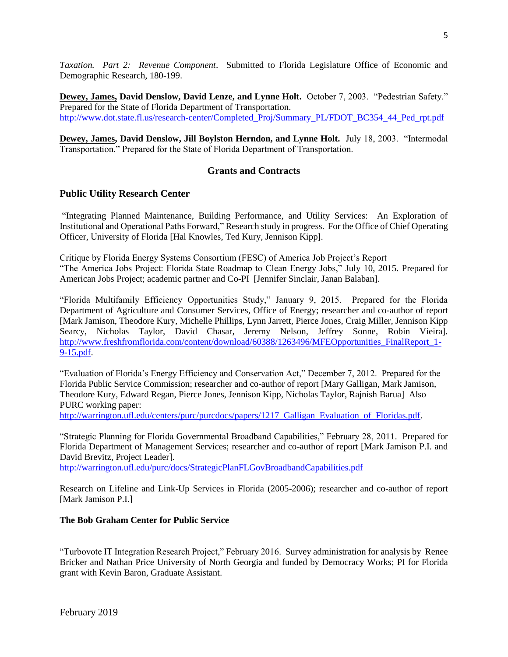*Taxation. Part 2: Revenue Component*. Submitted to Florida Legislature Office of Economic and Demographic Research, 180-199.

**Dewey, James, David Denslow, David Lenze, and Lynne Holt.** October 7, 2003. "Pedestrian Safety." Prepared for the State of Florida Department of Transportation. [http://www.dot.state.fl.us/research-center/Completed\\_Proj/Summary\\_PL/FDOT\\_BC354\\_44\\_Ped\\_rpt.pdf](http://www.dot.state.fl.us/research-center/Completed_Proj/Summary_PL/FDOT_BC354_44_Ped_rpt.pdf)

**Dewey, James, David Denslow, Jill Boylston Herndon, and Lynne Holt.** July 18, 2003. "Intermodal Transportation." Prepared for the State of Florida Department of Transportation.

## **Grants and Contracts**

### **Public Utility Research Center**

"Integrating Planned Maintenance, Building Performance, and Utility Services: An Exploration of Institutional and Operational Paths Forward," Research study in progress. For the Office of Chief Operating Officer, University of Florida [Hal Knowles, Ted Kury, Jennison Kipp].

Critique by Florida Energy Systems Consortium (FESC) of America Job Project's Report "The America Jobs Project: Florida State Roadmap to Clean Energy Jobs," July 10, 2015. Prepared for American Jobs Project; academic partner and Co-PI [Jennifer Sinclair, Janan Balaban].

"Florida Multifamily Efficiency Opportunities Study," January 9, 2015. Prepared for the Florida Department of Agriculture and Consumer Services, Office of Energy; researcher and co-author of report [Mark Jamison, Theodore Kury, Michelle Phillips, Lynn Jarrett, Pierce Jones, Craig Miller, Jennison Kipp Searcy, Nicholas Taylor, David Chasar, Jeremy Nelson, Jeffrey Sonne, Robin Vieira]. [http://www.freshfromflorida.com/content/download/60388/1263496/MFEOpportunities\\_FinalReport\\_1-](http://www.freshfromflorida.com/content/download/60388/1263496/MFEOpportunities_FinalReport_1-9-15.pdf) [9-15.pdf.](http://www.freshfromflorida.com/content/download/60388/1263496/MFEOpportunities_FinalReport_1-9-15.pdf)

"Evaluation of Florida's Energy Efficiency and Conservation Act," December 7, 2012. Prepared for the Florida Public Service Commission; researcher and co-author of report [Mary Galligan, Mark Jamison, Theodore Kury, Edward Regan, Pierce Jones, Jennison Kipp, Nicholas Taylor, Rajnish Barua] Also PURC working paper:

http://warrington.ufl.edu/centers/purc/purcdocs/papers/1217 Galligan Evaluation of Floridas.pdf.

"Strategic Planning for Florida Governmental Broadband Capabilities," February 28, 2011. Prepared for Florida Department of Management Services; researcher and co-author of report [Mark Jamison P.I. and David Brevitz, Project Leader].

<http://warrington.ufl.edu/purc/docs/StrategicPlanFLGovBroadbandCapabilities.pdf>

Research on Lifeline and Link-Up Services in Florida (2005-2006); researcher and co-author of report [Mark Jamison P.I.]

#### **The Bob Graham Center for Public Service**

"Turbovote IT Integration Research Project," February 2016. Survey administration for analysis by Renee Bricker and Nathan Price University of North Georgia and funded by Democracy Works; PI for Florida grant with Kevin Baron, Graduate Assistant.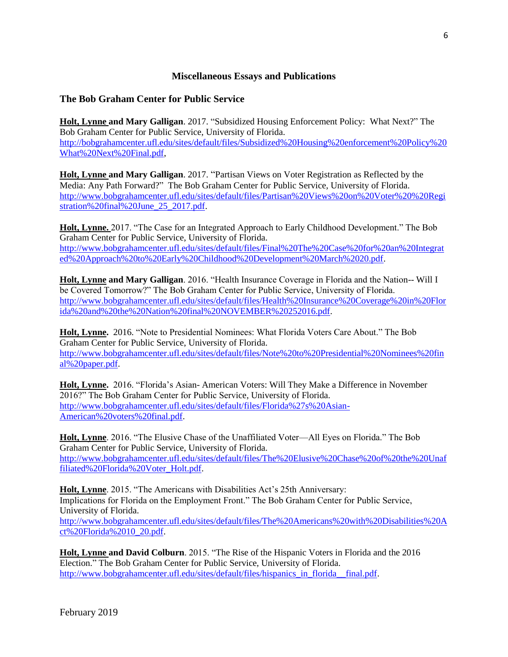## **Miscellaneous Essays and Publications**

## **The Bob Graham Center for Public Service**

**Holt, Lynne and Mary Galligan**. 2017. "Subsidized Housing Enforcement Policy: What Next?" The Bob Graham Center for Public Service, University of Florida. [http://bobgrahamcenter.ufl.edu/sites/default/files/Subsidized%20Housing%20enforcement%20Policy%20](http://bobgrahamcenter.ufl.edu/sites/default/files/Subsidized%20Housing%20enforcement%20Policy%20What%20Next%20Final.pdf) [What%20Next%20Final.pdf,](http://bobgrahamcenter.ufl.edu/sites/default/files/Subsidized%20Housing%20enforcement%20Policy%20What%20Next%20Final.pdf)

**Holt, Lynne and Mary Galligan**. 2017. "Partisan Views on Voter Registration as Reflected by the Media: Any Path Forward?" The Bob Graham Center for Public Service, University of Florida. [http://www.bobgrahamcenter.ufl.edu/sites/default/files/Partisan%20Views%20on%20Voter%20%20Regi](http://www.bobgrahamcenter.ufl.edu/sites/default/files/Partisan%20Views%20on%20Voter%20%20Registration%20final%20June_25_2017.pdf) [stration%20final%20June\\_25\\_2017.pdf.](http://www.bobgrahamcenter.ufl.edu/sites/default/files/Partisan%20Views%20on%20Voter%20%20Registration%20final%20June_25_2017.pdf)

**Holt, Lynne.** 2017. "The Case for an Integrated Approach to Early Childhood Development." The Bob Graham Center for Public Service, University of Florida. [http://www.bobgrahamcenter.ufl.edu/sites/default/files/Final%20The%20Case%20for%20an%20Integrat](http://www.bobgrahamcenter.ufl.edu/sites/default/files/Final%20The%20Case%20for%20an%20Integrated%20Approach%20to%20Early%20Childhood%20Development%20March%2020.pdf) [ed%20Approach%20to%20Early%20Childhood%20Development%20March%2020.pdf.](http://www.bobgrahamcenter.ufl.edu/sites/default/files/Final%20The%20Case%20for%20an%20Integrated%20Approach%20to%20Early%20Childhood%20Development%20March%2020.pdf)

**Holt, Lynne and Mary Galligan**. 2016. "Health Insurance Coverage in Florida and the Nation-- Will I be Covered Tomorrow?" The Bob Graham Center for Public Service, University of Florida. [http://www.bobgrahamcenter.ufl.edu/sites/default/files/Health%20Insurance%20Coverage%20in%20Flor](http://www.bobgrahamcenter.ufl.edu/sites/default/files/Health%20Insurance%20Coverage%20in%20Florida%20and%20the%20Nation%20final%20NOVEMBER%20252016.pdf) [ida%20and%20the%20Nation%20final%20NOVEMBER%20252016.pdf.](http://www.bobgrahamcenter.ufl.edu/sites/default/files/Health%20Insurance%20Coverage%20in%20Florida%20and%20the%20Nation%20final%20NOVEMBER%20252016.pdf)

**Holt, Lynne.** 2016. "Note to Presidential Nominees: What Florida Voters Care About." The Bob Graham Center for Public Service, University of Florida. [http://www.bobgrahamcenter.ufl.edu/sites/default/files/Note%20to%20Presidential%20Nominees%20fin](http://www.bobgrahamcenter.ufl.edu/sites/default/files/Note%20to%20Presidential%20Nominees%20final%20paper.pdf) [al%20paper.pdf.](http://www.bobgrahamcenter.ufl.edu/sites/default/files/Note%20to%20Presidential%20Nominees%20final%20paper.pdf)

**Holt, Lynne.** 2016. "Florida's Asian- American Voters: Will They Make a Difference in November 2016?" The Bob Graham Center for Public Service, University of Florida. [http://www.bobgrahamcenter.ufl.edu/sites/default/files/Florida%27s%20Asian-](http://www.bobgrahamcenter.ufl.edu/sites/default/files/Florida%27s%20Asian-American%20voters%20final.pdf)[American%20voters%20final.pdf.](http://www.bobgrahamcenter.ufl.edu/sites/default/files/Florida%27s%20Asian-American%20voters%20final.pdf)

**Holt, Lynne**. 2016. "The Elusive Chase of the Unaffiliated Voter—All Eyes on Florida." The Bob Graham Center for Public Service, University of Florida. [http://www.bobgrahamcenter.ufl.edu/sites/default/files/The%20Elusive%20Chase%20of%20the%20Unaf](http://www.bobgrahamcenter.ufl.edu/sites/default/files/The%20Elusive%20Chase%20of%20the%20Unaffiliated%20Florida%20Voter_Holt.pdf) [filiated%20Florida%20Voter\\_Holt.pdf.](http://www.bobgrahamcenter.ufl.edu/sites/default/files/The%20Elusive%20Chase%20of%20the%20Unaffiliated%20Florida%20Voter_Holt.pdf)

**Holt, Lynne**. 2015. "The Americans with Disabilities Act's 25th Anniversary: Implications for Florida on the Employment Front." The Bob Graham Center for Public Service, University of Florida. [http://www.bobgrahamcenter.ufl.edu/sites/default/files/The%20Americans%20with%20Disabilities%20A](http://www.bobgrahamcenter.ufl.edu/sites/default/files/The%20Americans%20with%20Disabilities%20Act%20Florida%2010_20.pdf) [ct%20Florida%2010\\_20.pdf.](http://www.bobgrahamcenter.ufl.edu/sites/default/files/The%20Americans%20with%20Disabilities%20Act%20Florida%2010_20.pdf)

**Holt, Lynne and David Colburn**. 2015. "The Rise of the Hispanic Voters in Florida and the 2016 Election." The Bob Graham Center for Public Service, University of Florida. [http://www.bobgrahamcenter.ufl.edu/sites/default/files/hispanics\\_in\\_florida\\_\\_final.pdf.](http://www.bobgrahamcenter.ufl.edu/sites/default/files/hispanics_in_florida__final.pdf)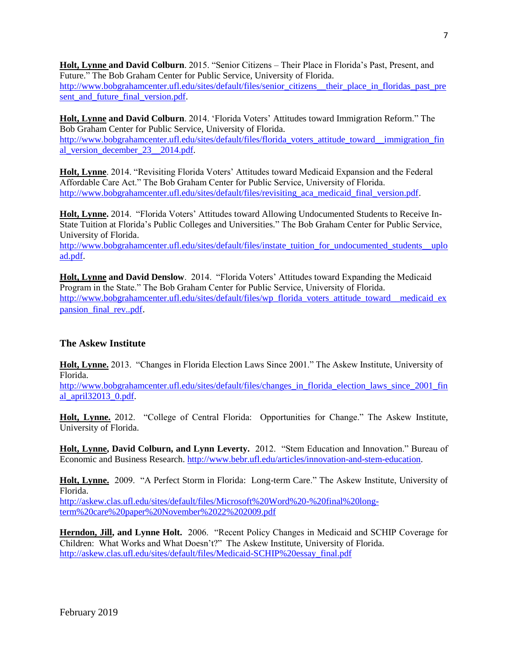**Holt, Lynne and David Colburn**. 2015. "Senior Citizens – Their Place in Florida's Past, Present, and Future." The Bob Graham Center for Public Service, University of Florida. [http://www.bobgrahamcenter.ufl.edu/sites/default/files/senior\\_citizens\\_\\_their\\_place\\_in\\_floridas\\_past\\_pre](http://www.bobgrahamcenter.ufl.edu/sites/default/files/senior_citizens__their_place_in_floridas_past_present_and_future_final_version.pdf)

sent and future final version.pdf.

**Holt, Lynne and David Colburn**. 2014. 'Florida Voters' Attitudes toward Immigration Reform." The Bob Graham Center for Public Service, University of Florida. [http://www.bobgrahamcenter.ufl.edu/sites/default/files/florida\\_voters\\_attitude\\_toward\\_\\_immigration\\_fin](http://www.bobgrahamcenter.ufl.edu/sites/default/files/florida_voters_attitude_toward__immigration_final_version_december_23__2014.pdf) [al\\_version\\_december\\_23\\_\\_2014.pdf.](http://www.bobgrahamcenter.ufl.edu/sites/default/files/florida_voters_attitude_toward__immigration_final_version_december_23__2014.pdf)

**Holt, Lynne**. 2014. "Revisiting Florida Voters' Attitudes toward Medicaid Expansion and the Federal Affordable Care Act." The Bob Graham Center for Public Service, University of Florida. [http://www.bobgrahamcenter.ufl.edu/sites/default/files/revisiting\\_aca\\_medicaid\\_final\\_version.pdf.](http://www.bobgrahamcenter.ufl.edu/sites/default/files/revisiting_aca_medicaid_final_version.pdf)

**Holt, Lynne.** 2014. "Florida Voters' Attitudes toward Allowing Undocumented Students to Receive In-State Tuition at Florida's Public Colleges and Universities." The Bob Graham Center for Public Service, University of Florida.

[http://www.bobgrahamcenter.ufl.edu/sites/default/files/instate\\_tuition\\_for\\_undocumented\\_students\\_\\_uplo](http://www.bobgrahamcenter.ufl.edu/sites/default/files/instate_tuition_for_undocumented_students__upload.pdf) [ad.pdf.](http://www.bobgrahamcenter.ufl.edu/sites/default/files/instate_tuition_for_undocumented_students__upload.pdf)

**Holt, Lynne and David Denslow**. 2014. "Florida Voters' Attitudes toward Expanding the Medicaid Program in the State." The Bob Graham Center for Public Service, University of Florida. [http://www.bobgrahamcenter.ufl.edu/sites/default/files/wp\\_florida\\_voters\\_attitude\\_toward\\_\\_medicaid\\_ex](http://www.bobgrahamcenter.ufl.edu/sites/default/files/wp_florida_voters_attitude_toward__medicaid_expansion_final_rev..pdf) pansion final rev..pdf.

## **The Askew Institute**

**Holt, Lynne.** 2013. "Changes in Florida Election Laws Since 2001." The Askew Institute, University of Florida.

[http://www.bobgrahamcenter.ufl.edu/sites/default/files/changes\\_in\\_florida\\_election\\_laws\\_since\\_2001\\_fin](http://www.bobgrahamcenter.ufl.edu/sites/default/files/changes_in_florida_election_laws_since_2001_final_april32013_0.pdf) [al\\_april32013\\_0.pdf.](http://www.bobgrahamcenter.ufl.edu/sites/default/files/changes_in_florida_election_laws_since_2001_final_april32013_0.pdf)

**Holt, Lynne.** 2012. "College of Central Florida: Opportunities for Change." The Askew Institute, University of Florida.

**Holt, Lynne, David Colburn, and Lynn Leverty.** 2012. "Stem Education and Innovation." Bureau of Economic and Business Research[. http://www.bebr.ufl.edu/articles/innovation-and-stem-education.](http://www.bebr.ufl.edu/articles/innovation-and-stem-education)

**Holt, Lynne.** 2009. "A Perfect Storm in Florida: Long-term Care." The Askew Institute, University of Florida.

[http://askew.clas.ufl.edu/sites/default/files/Microsoft%20Word%20-%20final%20long](http://askew.clas.ufl.edu/sites/default/files/Microsoft%20Word%20-%20final%20long-term%20care%20paper%20November%2022%202009.pdf)[term%20care%20paper%20November%2022%202009.pdf](http://askew.clas.ufl.edu/sites/default/files/Microsoft%20Word%20-%20final%20long-term%20care%20paper%20November%2022%202009.pdf)

**Herndon, Jill, and Lynne Holt.** 2006. "Recent Policy Changes in Medicaid and SCHIP Coverage for Children: What Works and What Doesn't?" The Askew Institute, University of Florida. [http://askew.clas.ufl.edu/sites/default/files/Medicaid-SCHIP%20essay\\_final.pdf](http://askew.clas.ufl.edu/sites/default/files/Medicaid-SCHIP%20essay_final.pdf)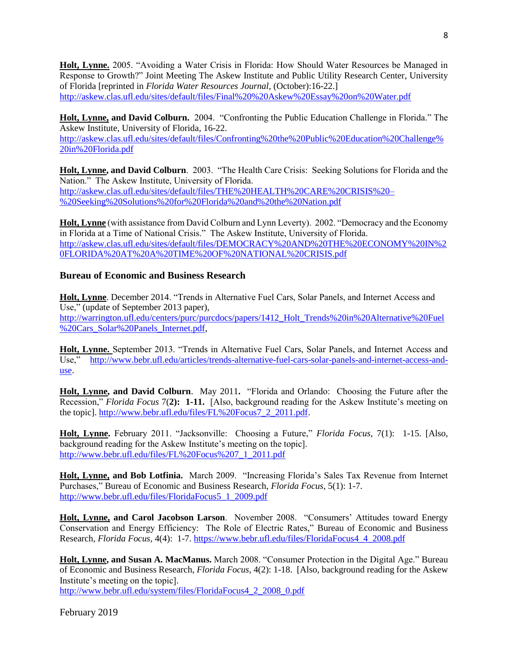**Holt, Lynne.** 2005. "Avoiding a Water Crisis in Florida: How Should Water Resources be Managed in Response to Growth?" Joint Meeting The Askew Institute and Public Utility Research Center, University of Florida [reprinted in *Florida Water Resources Journal*, (October):16-22.] <http://askew.clas.ufl.edu/sites/default/files/Final%20%20Askew%20Essay%20on%20Water.pdf>

**Holt, Lynne, and David Colburn.** 2004. "Confronting the Public Education Challenge in Florida." The Askew Institute, University of Florida, 16-22.

[http://askew.clas.ufl.edu/sites/default/files/Confronting%20the%20Public%20Education%20Challenge%](http://askew.clas.ufl.edu/sites/default/files/Confronting%20the%20Public%20Education%20Challenge%20in%20Florida.pdf) [20in%20Florida.pdf](http://askew.clas.ufl.edu/sites/default/files/Confronting%20the%20Public%20Education%20Challenge%20in%20Florida.pdf)

**Holt, Lynne, and David Colburn**. 2003. "The Health Care Crisis: Seeking Solutions for Florida and the Nation." The Askew Institute, University of Florida. [http://askew.clas.ufl.edu/sites/default/files/THE%20HEALTH%20CARE%20CRISIS%20–](http://askew.clas.ufl.edu/sites/default/files/THE%20HEALTH%20CARE%20CRISIS%20–%20Seeking%20Solutions%20for%20Florida%20and%20the%20Nation.pdf) [%20Seeking%20Solutions%20for%20Florida%20and%20the%20Nation.pdf](http://askew.clas.ufl.edu/sites/default/files/THE%20HEALTH%20CARE%20CRISIS%20–%20Seeking%20Solutions%20for%20Florida%20and%20the%20Nation.pdf)

**Holt, Lynne** (with assistance from David Colburn and Lynn Leverty). 2002. "Democracy and the Economy in Florida at a Time of National Crisis." The Askew Institute, University of Florida. [http://askew.clas.ufl.edu/sites/default/files/DEMOCRACY%20AND%20THE%20ECONOMY%20IN%2](http://askew.clas.ufl.edu/sites/default/files/DEMOCRACY%20AND%20THE%20ECONOMY%20IN%20FLORIDA%20AT%20A%20TIME%20OF%20NATIONAL%20CRISIS.pdf) [0FLORIDA%20AT%20A%20TIME%20OF%20NATIONAL%20CRISIS.pdf](http://askew.clas.ufl.edu/sites/default/files/DEMOCRACY%20AND%20THE%20ECONOMY%20IN%20FLORIDA%20AT%20A%20TIME%20OF%20NATIONAL%20CRISIS.pdf)

## **Bureau of Economic and Business Research**

**Holt, Lynne**. December 2014. "Trends in Alternative Fuel Cars, Solar Panels, and Internet Access and Use," (update of September 2013 paper), [http://warrington.ufl.edu/centers/purc/purcdocs/papers/1412\\_Holt\\_Trends%20in%20Alternative%20Fuel](http://warrington.ufl.edu/centers/purc/purcdocs/papers/1412_Holt_Trends%20in%20Alternative%20Fuel%20Cars_Solar%20Panels_Internet.pdf) [%20Cars\\_Solar%20Panels\\_Internet.pdf,](http://warrington.ufl.edu/centers/purc/purcdocs/papers/1412_Holt_Trends%20in%20Alternative%20Fuel%20Cars_Solar%20Panels_Internet.pdf)

**Holt, Lynne.** September 2013. "Trends in Alternative Fuel Cars, Solar Panels, and Internet Access and Use," [http://www.bebr.ufl.edu/articles/trends-alternative-fuel-cars-solar-panels-and-internet-access-and](http://www.bebr.ufl.edu/articles/trends-alternative-fuel-cars-solar-panels-and-internet-access-and-use)[use.](http://www.bebr.ufl.edu/articles/trends-alternative-fuel-cars-solar-panels-and-internet-access-and-use)

**Holt, Lynne, and David Colburn**. May 2011**.** "Florida and Orlando: Choosing the Future after the Recession," *Florida Focus* 7(**2): 1-11.** [Also, background reading for the Askew Institute's meeting on the topic]. [http://www.bebr.ufl.edu/files/FL%20Focus7\\_2\\_2011.pdf.](http://www.bebr.ufl.edu/files/FL%20Focus7_2_2011.pdf)

**Holt, Lynne.** February 2011. "Jacksonville: Choosing a Future," *Florida Focus*, 7(1): 1-15. [Also, background reading for the Askew Institute's meeting on the topic]. [http://www.bebr.ufl.edu/files/FL%20Focus%207\\_1\\_2011.pdf](http://www.bebr.ufl.edu/files/FL%20Focus%207_1_2011.pdf)

**Holt, Lynne, and Bob Lotfinia.** March 2009. "Increasing Florida's Sales Tax Revenue from Internet Purchases," Bureau of Economic and Business Research, *Florida Focus*, 5(1): 1-7. [http://www.bebr.ufl.edu/files/FloridaFocus5\\_1\\_2009.pdf](http://www.bebr.ufl.edu/files/FloridaFocus5_1_2009.pdf)

**Holt, Lynne, and Carol Jacobson Larson**. November 2008. "Consumers' Attitudes toward Energy Conservation and Energy Efficiency: The Role of Electric Rates," Bureau of Economic and Business Research, *Florida Focus,* 4(4): 1-7. [https://www.bebr.ufl.edu/files/FloridaFocus4\\_4\\_2008.pdf](https://www.bebr.ufl.edu/files/FloridaFocus4_4_2008.pdf)

**Holt, Lynne, and Susan A. MacManus.** March 2008. "Consumer Protection in the Digital Age." Bureau of Economic and Business Research, *Florida Focus*, 4(2): 1-18. [Also, background reading for the Askew Institute's meeting on the topic]. [http://www.bebr.ufl.edu/system/files/FloridaFocus4\\_2\\_2008\\_0.pdf](http://www.bebr.ufl.edu/system/files/FloridaFocus4_2_2008_0.pdf)

February 2019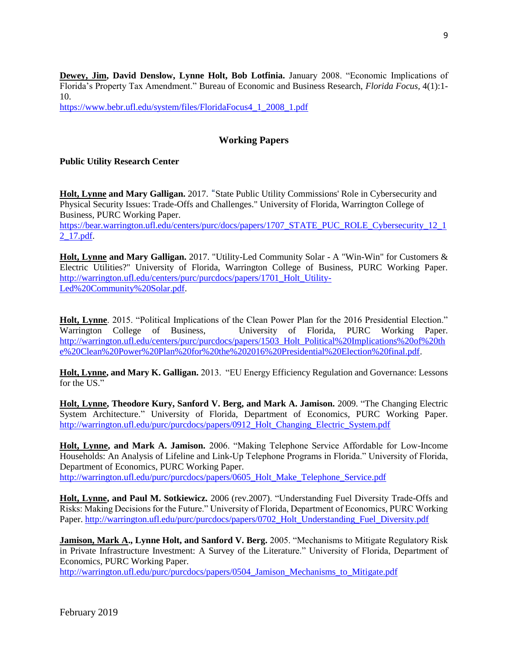**Dewey, Jim, David Denslow, Lynne Holt, Bob Lotfinia.** January 2008. "Economic Implications of Florida's Property Tax Amendment." Bureau of Economic and Business Research, *Florida Focus,* 4(1):1- 10.

[https://www.bebr.ufl.edu/system/files/FloridaFocus4\\_1\\_2008\\_1.pdf](https://www.bebr.ufl.edu/system/files/FloridaFocus4_1_2008_1.pdf)

## **Working Papers**

## **Public Utility Research Center**

**Holt, Lynne and Mary Galligan.** 2017. "State Public Utility Commissions' Role in Cybersecurity and Physical Security Issues: Trade-Offs and Challenges." University of Florida, Warrington College of Business, PURC Working Paper. [https://bear.warrington.ufl.edu/centers/purc/docs/papers/1707\\_STATE\\_PUC\\_ROLE\\_Cybersecurity\\_12\\_1](https://bear.warrington.ufl.edu/centers/purc/docs/papers/1707_STATE_PUC_ROLE_Cybersecurity_12_12_17.pdf) [2\\_17.pdf.](https://bear.warrington.ufl.edu/centers/purc/docs/papers/1707_STATE_PUC_ROLE_Cybersecurity_12_12_17.pdf)

**Holt, Lynne and Mary Galligan.** 2017. "Utility-Led Community Solar - A "Win-Win" for Customers & Electric Utilities?" University of Florida, Warrington College of Business, PURC Working Paper. [http://warrington.ufl.edu/centers/purc/purcdocs/papers/1701\\_Holt\\_Utility-](http://warrington.ufl.edu/centers/purc/purcdocs/papers/1701_Holt_Utility-Led%20Community%20Solar.pdf)[Led%20Community%20Solar.pdf.](http://warrington.ufl.edu/centers/purc/purcdocs/papers/1701_Holt_Utility-Led%20Community%20Solar.pdf)

**Holt, Lynne**. 2015. "Political Implications of the Clean Power Plan for the 2016 Presidential Election." Warrington College of Business, University of Florida, PURC Working Paper. [http://warrington.ufl.edu/centers/purc/purcdocs/papers/1503\\_Holt\\_Political%20Implications%20of%20th](http://warrington.ufl.edu/centers/purc/purcdocs/papers/1503_Holt_Political%20Implications%20of%20the%20Clean%20Power%20Plan%20for%20the%202016%20Presidential%20Election%20final.pdf) [e%20Clean%20Power%20Plan%20for%20the%202016%20Presidential%20Election%20final.pdf.](http://warrington.ufl.edu/centers/purc/purcdocs/papers/1503_Holt_Political%20Implications%20of%20the%20Clean%20Power%20Plan%20for%20the%202016%20Presidential%20Election%20final.pdf)

**Holt, Lynne, and Mary K. Galligan.** 2013. "EU Energy Efficiency Regulation and Governance: Lessons for the US."

**Holt, Lynne, Theodore Kury, Sanford V. Berg, and Mark A. Jamison.** 2009. "The Changing Electric System Architecture." University of Florida, Department of Economics, PURC Working Paper. [http://warrington.ufl.edu/purc/purcdocs/papers/0912\\_Holt\\_Changing\\_Electric\\_System.pdf](http://warrington.ufl.edu/purc/purcdocs/papers/0912_Holt_Changing_Electric_System.pdf)

**Holt, Lynne, and Mark A. Jamison.** 2006. "Making Telephone Service Affordable for Low-Income Households: An Analysis of Lifeline and Link-Up Telephone Programs in Florida." University of Florida, Department of Economics, PURC Working Paper. [http://warrington.ufl.edu/purc/purcdocs/papers/0605\\_Holt\\_Make\\_Telephone\\_Service.pdf](http://warrington.ufl.edu/purc/purcdocs/papers/0605_Holt_Make_Telephone_Service.pdf)

**Holt, Lynne, and Paul M. Sotkiewicz.** 2006 (rev.2007). "Understanding Fuel Diversity Trade-Offs and Risks: Making Decisions for the Future." University of Florida, Department of Economics, PURC Working Paper. [http://warrington.ufl.edu/purc/purcdocs/papers/0702\\_Holt\\_Understanding\\_Fuel\\_Diversity.pdf](http://warrington.ufl.edu/purc/purcdocs/papers/0702_Holt_Understanding_Fuel_Diversity.pdf)

**Jamison, Mark A., Lynne Holt, and Sanford V. Berg.** 2005. "Mechanisms to Mitigate Regulatory Risk in Private Infrastructure Investment: A Survey of the Literature." University of Florida, Department of Economics, PURC Working Paper.

[http://warrington.ufl.edu/purc/purcdocs/papers/0504\\_Jamison\\_Mechanisms\\_to\\_Mitigate.pdf](http://warrington.ufl.edu/purc/purcdocs/papers/0504_Jamison_Mechanisms_to_Mitigate.pdf)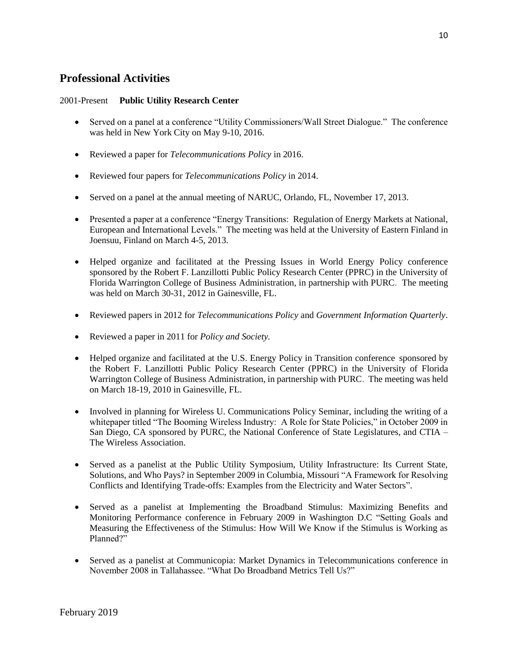## **Professional Activities**

### 2001-Present **Public Utility Research Center**

- Served on a panel at a conference "Utility Commissioners/Wall Street Dialogue." The conference was held in New York City on May 9-10, 2016.
- Reviewed a paper for *Telecommunications Policy* in 2016.
- Reviewed four papers for *Telecommunications Policy* in 2014.
- Served on a panel at the annual meeting of NARUC, Orlando, FL, November 17, 2013.
- Presented a paper at a conference "Energy Transitions: Regulation of Energy Markets at National, European and International Levels." The meeting was held at the University of Eastern Finland in Joensuu, Finland on March 4-5, 2013.
- Helped organize and facilitated at the Pressing Issues in World Energy Policy conference sponsored by the Robert F. Lanzillotti Public Policy Research Center (PPRC) in the University of Florida Warrington College of Business Administration, in partnership with PURC. The meeting was held on March 30-31, 2012 in Gainesville, FL.
- Reviewed papers in 2012 for *Telecommunications Policy* and *Government Information Quarterly*.
- Reviewed a paper in 2011 for *Policy and Society.*
- Helped organize and facilitated at the U.S. Energy Policy in Transition conference sponsored by the Robert F. Lanzillotti Public Policy Research Center (PPRC) in the University of Florida Warrington College of Business Administration, in partnership with PURC. The meeting was held on March 18-19, 2010 in Gainesville, FL.
- Involved in planning for Wireless U. Communications Policy Seminar, including the writing of a whitepaper titled "The Booming Wireless Industry: A Role for State Policies," in October 2009 in San Diego, CA sponsored by PURC, the National Conference of State Legislatures, and CTIA – The Wireless Association.
- Served as a panelist at the Public Utility Symposium, Utility Infrastructure: Its Current State, Solutions, and Who Pays? in September 2009 in Columbia, Missouri "A Framework for Resolving Conflicts and Identifying Trade-offs: Examples from the Electricity and Water Sectors".
- Served as a panelist at Implementing the Broadband Stimulus: Maximizing Benefits and Monitoring Performance conference in February 2009 in Washington D.C "Setting Goals and Measuring the Effectiveness of the Stimulus: How Will We Know if the Stimulus is Working as Planned?"
- Served as a panelist at Communicopia: Market Dynamics in Telecommunications conference in November 2008 in Tallahassee. "What Do Broadband Metrics Tell Us?"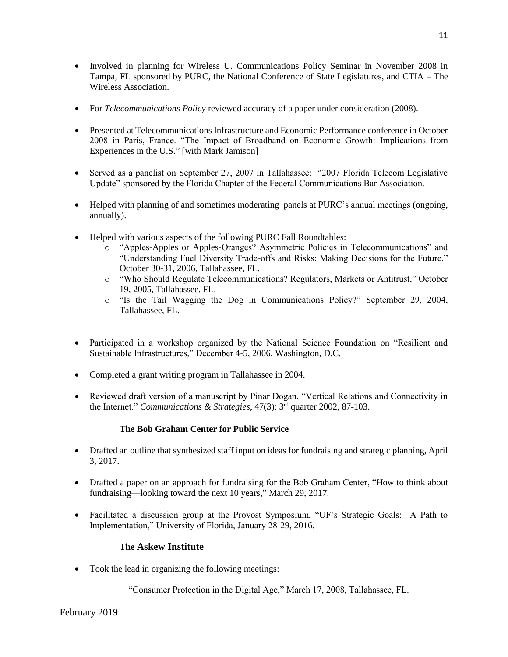- Involved in planning for Wireless U. Communications Policy Seminar in November 2008 in Tampa, FL sponsored by PURC, the National Conference of State Legislatures, and CTIA – The Wireless Association.
- For *Telecommunications Policy* reviewed accuracy of a paper under consideration (2008).
- Presented at Telecommunications Infrastructure and Economic Performance conference in October 2008 in Paris, France. "The Impact of Broadband on Economic Growth: Implications from Experiences in the U.S." [with Mark Jamison]
- Served as a panelist on September 27, 2007 in Tallahassee: "2007 Florida Telecom Legislative Update" sponsored by the Florida Chapter of the Federal Communications Bar Association.
- Helped with planning of and sometimes moderating panels at PURC's annual meetings (ongoing, annually).
- Helped with various aspects of the following PURC Fall Roundtables:
	- o "Apples-Apples or Apples-Oranges? Asymmetric Policies in Telecommunications" and "Understanding Fuel Diversity Trade-offs and Risks: Making Decisions for the Future," October 30-31, 2006, Tallahassee, FL.
	- o "Who Should Regulate Telecommunications? Regulators, Markets or Antitrust," October 19, 2005, Tallahassee, FL.
	- o "Is the Tail Wagging the Dog in Communications Policy?" September 29, 2004, Tallahassee, FL.
- Participated in a workshop organized by the National Science Foundation on "Resilient and Sustainable Infrastructures," December 4-5, 2006, Washington, D.C.
- Completed a grant writing program in Tallahassee in 2004.
- Reviewed draft version of a manuscript by Pinar Dogan, "Vertical Relations and Connectivity in the Internet." *Communications & Strategies*, 47(3): 3rd quarter 2002, 87-103.

## **The Bob Graham Center for Public Service**

- Drafted an outline that synthesized staff input on ideas for fundraising and strategic planning, April 3, 2017.
- Drafted a paper on an approach for fundraising for the Bob Graham Center, "How to think about fundraising—looking toward the next 10 years," March 29, 2017.
- Facilitated a discussion group at the Provost Symposium, "UF's Strategic Goals: A Path to Implementation," University of Florida, January 28-29, 2016.

## **The Askew Institute**

• Took the lead in organizing the following meetings:

"Consumer Protection in the Digital Age," March 17, 2008, Tallahassee, FL.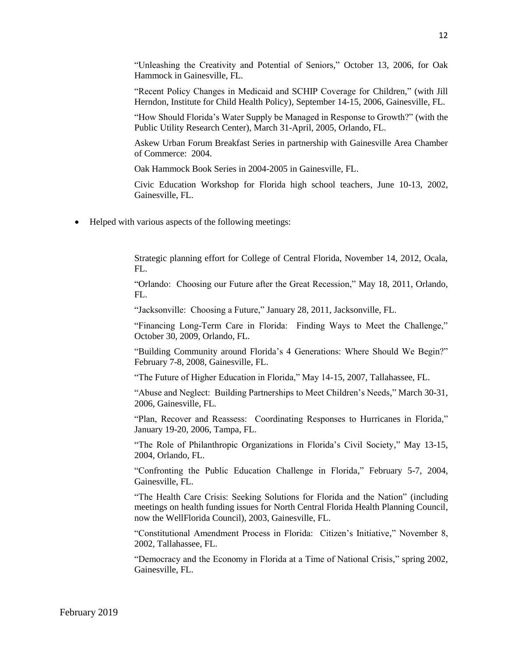"Unleashing the Creativity and Potential of Seniors," October 13, 2006, for Oak Hammock in Gainesville, FL.

"Recent Policy Changes in Medicaid and SCHIP Coverage for Children," (with Jill Herndon, Institute for Child Health Policy), September 14-15, 2006, Gainesville, FL.

"How Should Florida's Water Supply be Managed in Response to Growth?" (with the Public Utility Research Center), March 31-April, 2005, Orlando, FL.

Askew Urban Forum Breakfast Series in partnership with Gainesville Area Chamber of Commerce: 2004.

Oak Hammock Book Series in 2004-2005 in Gainesville, FL.

Civic Education Workshop for Florida high school teachers, June 10-13, 2002, Gainesville, FL.

• Helped with various aspects of the following meetings:

Strategic planning effort for College of Central Florida, November 14, 2012, Ocala, FL.

"Orlando: Choosing our Future after the Great Recession," May 18, 2011, Orlando, FL.

"Jacksonville: Choosing a Future," January 28, 2011, Jacksonville, FL.

"Financing Long-Term Care in Florida: Finding Ways to Meet the Challenge," October 30, 2009, Orlando, FL.

"Building Community around Florida's 4 Generations: Where Should We Begin?" February 7-8, 2008, Gainesville, FL.

"The Future of Higher Education in Florida," May 14-15, 2007, Tallahassee, FL.

"Abuse and Neglect: Building Partnerships to Meet Children's Needs," March 30-31, 2006, Gainesville, FL.

"Plan, Recover and Reassess: Coordinating Responses to Hurricanes in Florida," January 19-20, 2006, Tampa, FL.

"The Role of Philanthropic Organizations in Florida's Civil Society," May 13-15, 2004, Orlando, FL.

"Confronting the Public Education Challenge in Florida," February 5-7, 2004, Gainesville, FL.

"The Health Care Crisis: Seeking Solutions for Florida and the Nation" (including meetings on health funding issues for North Central Florida Health Planning Council, now the WellFlorida Council), 2003, Gainesville, FL.

"Constitutional Amendment Process in Florida: Citizen's Initiative," November 8, 2002, Tallahassee, FL.

"Democracy and the Economy in Florida at a Time of National Crisis," spring 2002, Gainesville, FL.